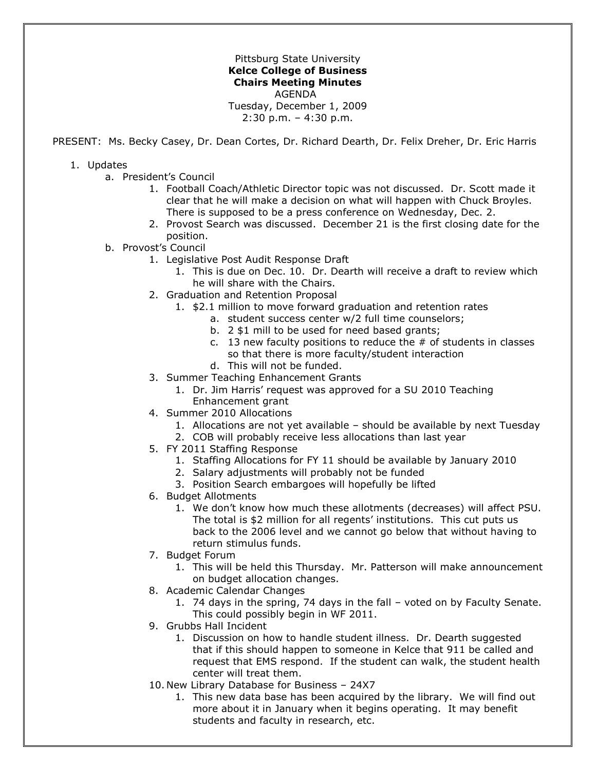Pittsburg State University **Kelce College of Business Chairs Meeting Minutes** AGENDA Tuesday, December 1, 2009 2:30 p.m. – 4:30 p.m.

PRESENT: Ms. Becky Casey, Dr. Dean Cortes, Dr. Richard Dearth, Dr. Felix Dreher, Dr. Eric Harris

## 1. Updates

- a. President's Council
	- 1. Football Coach/Athletic Director topic was not discussed. Dr. Scott made it clear that he will make a decision on what will happen with Chuck Broyles. There is supposed to be a press conference on Wednesday, Dec. 2.
	- 2. Provost Search was discussed. December 21 is the first closing date for the position.
- b. Provost's Council
	- 1. Legislative Post Audit Response Draft
		- 1. This is due on Dec. 10. Dr. Dearth will receive a draft to review which he will share with the Chairs.
	- 2. Graduation and Retention Proposal
		- 1. \$2.1 million to move forward graduation and retention rates
			- a. student success center w/2 full time counselors;
			- b. 2 \$1 mill to be used for need based grants;
			- c. 13 new faculty positions to reduce the  $#$  of students in classes so that there is more faculty/student interaction
			- d. This will not be funded.
	- 3. Summer Teaching Enhancement Grants
		- 1. Dr. Jim Harris' request was approved for a SU 2010 Teaching Enhancement grant
	- 4. Summer 2010 Allocations
		- 1. Allocations are not yet available should be available by next Tuesday
		- 2. COB will probably receive less allocations than last year
	- 5. FY 2011 Staffing Response
		- 1. Staffing Allocations for FY 11 should be available by January 2010
		- 2. Salary adjustments will probably not be funded
		- 3. Position Search embargoes will hopefully be lifted
	- 6. Budget Allotments
		- 1. We don't know how much these allotments (decreases) will affect PSU. The total is \$2 million for all regents' institutions. This cut puts us back to the 2006 level and we cannot go below that without having to return stimulus funds.
	- 7. Budget Forum
		- 1. This will be held this Thursday. Mr. Patterson will make announcement on budget allocation changes.
	- 8. Academic Calendar Changes
		- 1. 74 days in the spring, 74 days in the fall voted on by Faculty Senate. This could possibly begin in WF 2011.
	- 9. Grubbs Hall Incident
		- 1. Discussion on how to handle student illness. Dr. Dearth suggested that if this should happen to someone in Kelce that 911 be called and request that EMS respond. If the student can walk, the student health center will treat them.
	- 10. New Library Database for Business 24X7
		- 1. This new data base has been acquired by the library. We will find out more about it in January when it begins operating. It may benefit students and faculty in research, etc.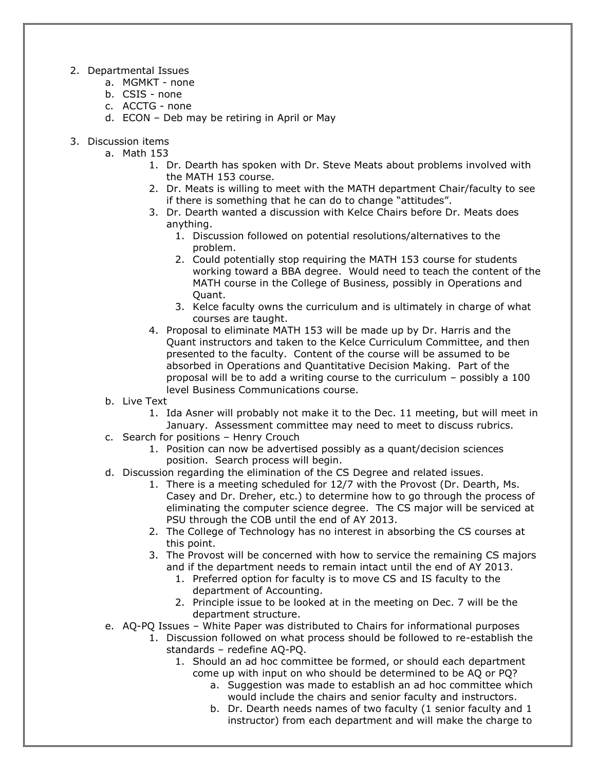- 2. Departmental Issues
	- a. MGMKT none
	- b. CSIS none
	- c. ACCTG none
	- d. ECON Deb may be retiring in April or May
- 3. Discussion items
	- a. Math 153
		- 1. Dr. Dearth has spoken with Dr. Steve Meats about problems involved with the MATH 153 course.
		- 2. Dr. Meats is willing to meet with the MATH department Chair/faculty to see if there is something that he can do to change "attitudes".
		- 3. Dr. Dearth wanted a discussion with Kelce Chairs before Dr. Meats does anything.
			- 1. Discussion followed on potential resolutions/alternatives to the problem.
			- 2. Could potentially stop requiring the MATH 153 course for students working toward a BBA degree. Would need to teach the content of the MATH course in the College of Business, possibly in Operations and Quant.
			- 3. Kelce faculty owns the curriculum and is ultimately in charge of what courses are taught.
		- 4. Proposal to eliminate MATH 153 will be made up by Dr. Harris and the Quant instructors and taken to the Kelce Curriculum Committee, and then presented to the faculty. Content of the course will be assumed to be absorbed in Operations and Quantitative Decision Making. Part of the proposal will be to add a writing course to the curriculum – possibly a 100 level Business Communications course.
	- b. Live Text
		- 1. Ida Asner will probably not make it to the Dec. 11 meeting, but will meet in January. Assessment committee may need to meet to discuss rubrics.
	- c. Search for positions Henry Crouch
		- 1. Position can now be advertised possibly as a quant/decision sciences position. Search process will begin.
	- d. Discussion regarding the elimination of the CS Degree and related issues.
		- 1. There is a meeting scheduled for 12/7 with the Provost (Dr. Dearth, Ms. Casey and Dr. Dreher, etc.) to determine how to go through the process of eliminating the computer science degree. The CS major will be serviced at PSU through the COB until the end of AY 2013.
		- 2. The College of Technology has no interest in absorbing the CS courses at this point.
		- 3. The Provost will be concerned with how to service the remaining CS majors and if the department needs to remain intact until the end of AY 2013.
			- 1. Preferred option for faculty is to move CS and IS faculty to the department of Accounting.
			- 2. Principle issue to be looked at in the meeting on Dec. 7 will be the department structure.
	- e. AQ-PQ Issues White Paper was distributed to Chairs for informational purposes
		- 1. Discussion followed on what process should be followed to re-establish the standards – redefine AQ-PQ.
			- 1. Should an ad hoc committee be formed, or should each department come up with input on who should be determined to be AQ or PQ?
				- a. Suggestion was made to establish an ad hoc committee which would include the chairs and senior faculty and instructors.
				- b. Dr. Dearth needs names of two faculty (1 senior faculty and 1 instructor) from each department and will make the charge to